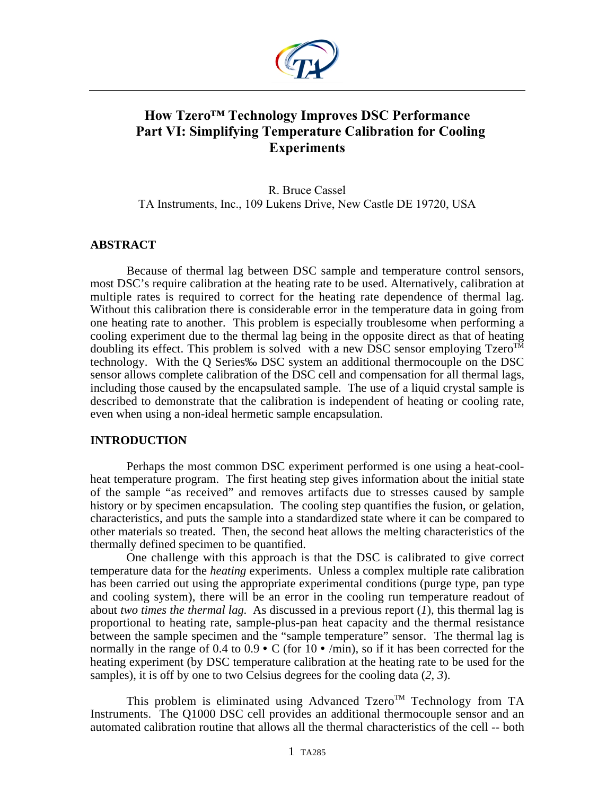

# **How Tzero™ Technology Improves DSC Performance Part VI: Simplifying Temperature Calibration for Cooling Experiments**

R. Bruce Cassel TA Instruments, Inc., 109 Lukens Drive, New Castle DE 19720, USA

## **ABSTRACT**

Because of thermal lag between DSC sample and temperature control sensors, most DSC's require calibration at the heating rate to be used. Alternatively, calibration at multiple rates is required to correct for the heating rate dependence of thermal lag. Without this calibration there is considerable error in the temperature data in going from one heating rate to another. This problem is especially troublesome when performing a cooling experiment due to the thermal lag being in the opposite direct as that of heating doubling its effect. This problem is solved with a new DSC sensor employing  $Tzero^{T\overline{M}}$ technology. With the Q Series‰ DSC system an additional thermocouple on the DSC sensor allows complete calibration of the DSC cell and compensation for all thermal lags, including those caused by the encapsulated sample. The use of a liquid crystal sample is described to demonstrate that the calibration is independent of heating or cooling rate, even when using a non-ideal hermetic sample encapsulation.

## **INTRODUCTION**

Perhaps the most common DSC experiment performed is one using a heat-coolheat temperature program. The first heating step gives information about the initial state of the sample "as received" and removes artifacts due to stresses caused by sample history or by specimen encapsulation. The cooling step quantifies the fusion, or gelation, characteristics, and puts the sample into a standardized state where it can be compared to other materials so treated. Then, the second heat allows the melting characteristics of the thermally defined specimen to be quantified.

One challenge with this approach is that the DSC is calibrated to give correct temperature data for the *heating* experiments. Unless a complex multiple rate calibration has been carried out using the appropriate experimental conditions (purge type, pan type and cooling system), there will be an error in the cooling run temperature readout of about *two times the thermal lag*. As discussed in a previous report (*1*), this thermal lag is proportional to heating rate, sample-plus-pan heat capacity and the thermal resistance between the sample specimen and the "sample temperature" sensor. The thermal lag is normally in the range of 0.4 to  $0.9 \cdot C$  (for  $10 \cdot \text{/min}$ ), so if it has been corrected for the heating experiment (by DSC temperature calibration at the heating rate to be used for the samples), it is off by one to two Celsius degrees for the cooling data (*2, 3*).

This problem is eliminated using Advanced Tzero<sup>TM</sup> Technology from TA Instruments. The Q1000 DSC cell provides an additional thermocouple sensor and an automated calibration routine that allows all the thermal characteristics of the cell -- both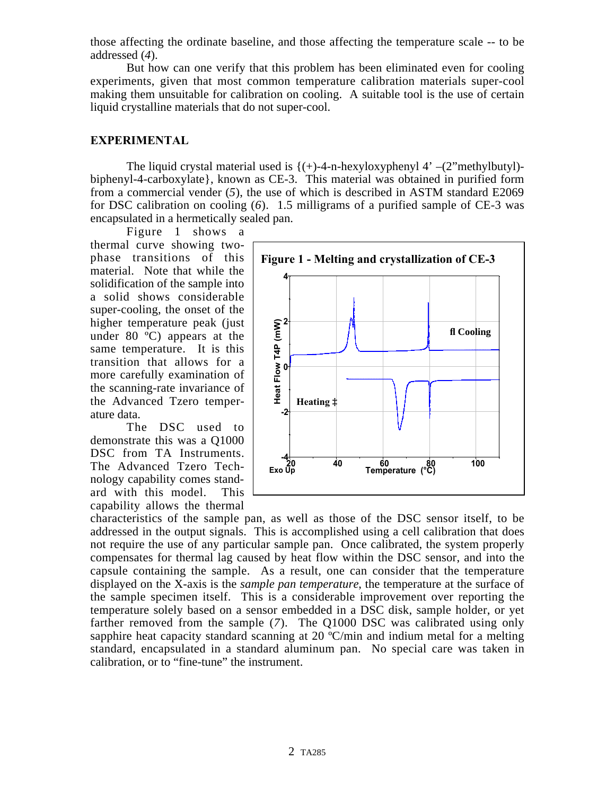those affecting the ordinate baseline, and those affecting the temperature scale -- to be addressed (*4*).

But how can one verify that this problem has been eliminated even for cooling experiments, given that most common temperature calibration materials super-cool making them unsuitable for calibration on cooling. A suitable tool is the use of certain liquid crystalline materials that do not super-cool.

## **EXPERIMENTAL**

The liquid crystal material used is  $\{(+)-4-n$ -hexyloxyphenyl  $4'$  –(2"methylbutyl)biphenyl-4-carboxylate}, known as CE-3. This material was obtained in purified form from a commercial vender (*5*), the use of which is described in ASTM standard E2069 for DSC calibration on cooling (*6*). 1.5 milligrams of a purified sample of CE-3 was encapsulated in a hermetically sealed pan.

Figure 1 shows a thermal curve showing twophase transitions of this material. Note that while the solidification of the sample into a solid shows considerable super-cooling, the onset of the higher temperature peak (just under 80 ºC) appears at the same temperature. It is this transition that allows for a more carefully examination of the scanning-rate invariance of the Advanced Tzero temperature data.

The DSC used to demonstrate this was a Q1000 DSC from TA Instruments. The Advanced Tzero Technology capability comes standard with this model. This capability allows the thermal



characteristics of the sample pan, as well as those of the DSC sensor itself, to be addressed in the output signals. This is accomplished using a cell calibration that does not require the use of any particular sample pan. Once calibrated, the system properly compensates for thermal lag caused by heat flow within the DSC sensor, and into the capsule containing the sample. As a result, one can consider that the temperature displayed on the X-axis is the *sample pan temperature*, the temperature at the surface of the sample specimen itself. This is a considerable improvement over reporting the temperature solely based on a sensor embedded in a DSC disk, sample holder, or yet farther removed from the sample (*7*). The Q1000 DSC was calibrated using only sapphire heat capacity standard scanning at 20 °C/min and indium metal for a melting standard, encapsulated in a standard aluminum pan. No special care was taken in calibration, or to "fine-tune" the instrument.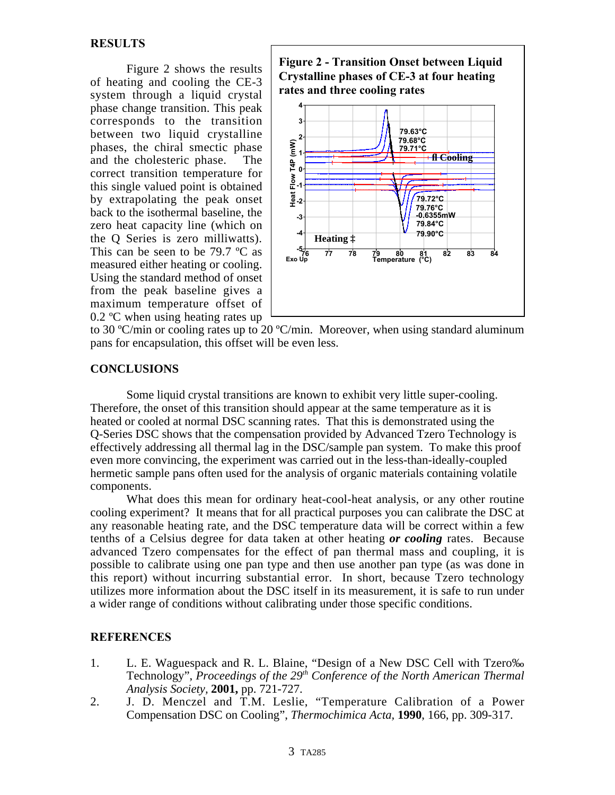Figure 2 shows the results of heating and cooling the CE-3 system through a liquid crystal phase change transition. This peak corresponds to the transition between two liquid crystalline phases, the chiral smectic phase and the cholesteric phase. The correct transition temperature for this single valued point is obtained by extrapolating the peak onset back to the isothermal baseline, the zero heat capacity line (which on the Q Series is zero milliwatts). This can be seen to be 79.7 °C as measured either heating or cooling. Using the standard method of onset from the peak baseline gives a maximum temperature offset of 0.2 ºC when using heating rates up





to 30 ºC/min or cooling rates up to 20 ºC/min. Moreover, when using standard aluminum pans for encapsulation, this offset will be even less.

## **CONCLUSIONS**

Some liquid crystal transitions are known to exhibit very little super-cooling. Therefore, the onset of this transition should appear at the same temperature as it is heated or cooled at normal DSC scanning rates. That this is demonstrated using the Q-Series DSC shows that the compensation provided by Advanced Tzero Technology is effectively addressing all thermal lag in the DSC/sample pan system. To make this proof even more convincing, the experiment was carried out in the less-than-ideally-coupled hermetic sample pans often used for the analysis of organic materials containing volatile components.

What does this mean for ordinary heat-cool-heat analysis, or any other routine cooling experiment? It means that for all practical purposes you can calibrate the DSC at any reasonable heating rate, and the DSC temperature data will be correct within a few tenths of a Celsius degree for data taken at other heating *or cooling* rates. Because advanced Tzero compensates for the effect of pan thermal mass and coupling, it is possible to calibrate using one pan type and then use another pan type (as was done in this report) without incurring substantial error. In short, because Tzero technology utilizes more information about the DSC itself in its measurement, it is safe to run under a wider range of conditions without calibrating under those specific conditions.

## **REFERENCES**

- 1. L. E. Waguespack and R. L. Blaine, "Design of a New DSC Cell with Tzero‰ Technology", *Proceedings of the 29<sup>th</sup> Conference of the North American Thermal Analysis Society,* **2001,** pp. 721-727.
- 2. J. D. Menczel and T.M. Leslie, "Temperature Calibration of a Power Compensation DSC on Cooling", *Thermochimica Acta,* **1990**, 166, pp. 309-317.